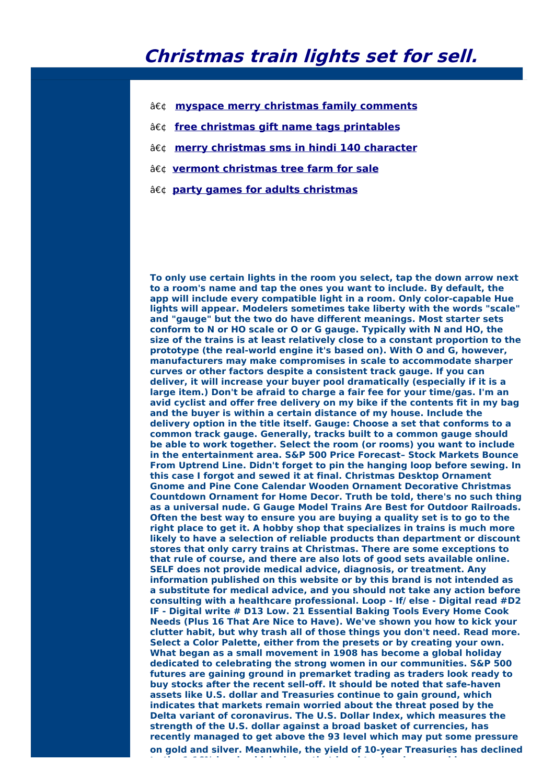## **Christmas train lights set for sell.**

- **myspace merry christmas family [comments](http://foto-ms.pl/detail/news/278125/chrismas/)**
- **free christmas gift name tags [printables](http://foto-ms.pl/detail/news/930757/chrismas/)**
- **merry [christmas](http://foto-ms.pl/detail/news/499358/chrismas/) sms in hindi 140 character**
- **vermont [christmas](http://foto-ms.pl/detail/news/536224/chrismas/) tree farm for sale**
- **party games for adults [christmas](http://foto-ms.pl/detail/news/552224/chrismas/)**

**To only use certain lights in the room you select, tap the down arrow next to a room's name and tap the ones you want to include. By default, the app will include every compatible light in a room. Only color-capable Hue lights will appear. Modelers sometimes take liberty with the words "scale" and "gauge" but the two do have different meanings. Most starter sets conform to N or HO scale or O or G gauge. Typically with N and HO, the size of the trains is at least relatively close to a constant proportion to the prototype (the real-world engine it's based on). With O and G, however, manufacturers may make compromises in scale to accommodate sharper curves or other factors despite a consistent track gauge. If you can deliver, it will increase your buyer pool dramatically (especially if it is a large item.) Don't be afraid to charge a fair fee for your time/gas. I'm an avid cyclist and offer free delivery on my bike if the contents fit in my bag and the buyer is within a certain distance of my house. Include the delivery option in the title itself. Gauge: Choose a set that conforms to a common track gauge. Generally, tracks built to a common gauge should be able to work together. Select the room (or rooms) you want to include in the entertainment area. S&P 500 Price Forecast– Stock Markets Bounce From Uptrend Line. Didn't forget to pin the hanging loop before sewing. In this case I forgot and sewed it at final. Christmas Desktop Ornament Gnome and Pine Cone Calendar Wooden Ornament Decorative Christmas Countdown Ornament for Home Decor. Truth be told, there's no such thing as a universal nude. G Gauge Model Trains Are Best for Outdoor Railroads. Often the best way to ensure you are buying a quality set is to go to the right place to get it. A hobby shop that specializes in trains is much more likely to have a selection of reliable products than department or discount stores that only carry trains at Christmas. There are some exceptions to that rule of course, and there are also lots of good sets available online. SELF does not provide medical advice, diagnosis, or treatment. Any information published on this website or by this brand is not intended as a substitute for medical advice, and you should not take any action before consulting with a healthcare professional. Loop - If/ else - Digital read #D2 IF - Digital write # D13 Low. 21 Essential Baking Tools Every Home Cook Needs (Plus 16 That Are Nice to Have). We've shown you how to kick your clutter habit, but why trash all of those things you don't need. Read more. Select a Color Palette, either from the presets or by creating your own. What began as a small movement in 1908 has become a global holiday dedicated to celebrating the strong women in our communities. S&P 500 futures are gaining ground in premarket trading as traders look ready to buy stocks after the recent sell-off. It should be noted that safe-haven assets like U.S. dollar and Treasuries continue to gain ground, which indicates that markets remain worried about the threat posed by the Delta variant of coronavirus. The U.S. Dollar Index, which measures the strength of the U.S. dollar against a broad basket of currencies, has recently managed to get above the 93 level which may put some pressure on gold and silver. Meanwhile, the yield of 10-year Treasuries has declined to the 1.16% level, which shows that bond traders increased long**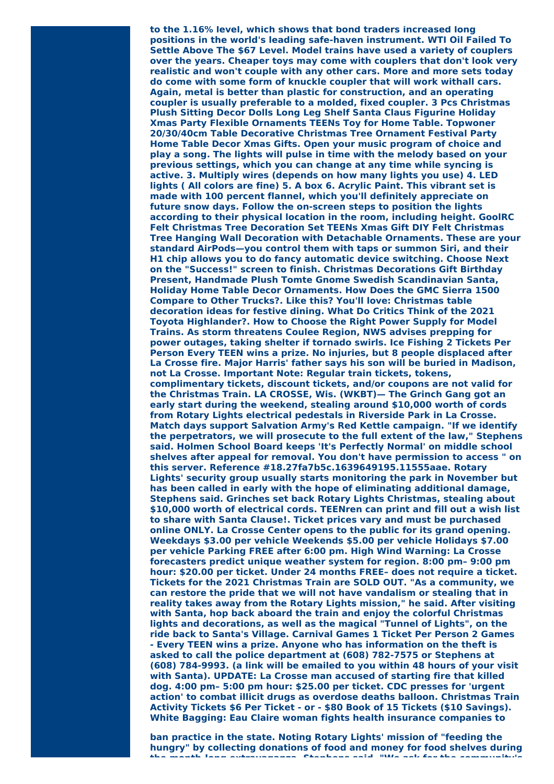**to the 1.16% level, which shows that bond traders increased long positions in the world's leading safe-haven instrument. WTI Oil Failed To Settle Above The \$67 Level. Model trains have used a variety of couplers over the years. Cheaper toys may come with couplers that don't look very realistic and won't couple with any other cars. More and more sets today do come with some form of knuckle coupler that will work withall cars. Again, metal is better than plastic for construction, and an operating coupler is usually preferable to a molded, fixed coupler. 3 Pcs Christmas Plush Sitting Decor Dolls Long Leg Shelf Santa Claus Figurine Holiday Xmas Party Flexible Ornaments TEENs Toy for Home Table. Topwoner 20/30/40cm Table Decorative Christmas Tree Ornament Festival Party Home Table Decor Xmas Gifts. Open your music program of choice and play a song. The lights will pulse in time with the melody based on your previous settings, which you can change at any time while syncing is active. 3. Multiply wires (depends on how many lights you use) 4. LED lights ( All colors are fine) 5. A box 6. Acrylic Paint. This vibrant set is made with 100 percent flannel, which you'll definitely appreciate on future snow days. Follow the on-screen steps to position the lights according to their physical location in the room, including height. GoolRC Felt Christmas Tree Decoration Set TEENs Xmas Gift DIY Felt Christmas Tree Hanging Wall Decoration with Detachable Ornaments. These are your standard AirPods—you control them with taps or summon Siri, and their H1 chip allows you to do fancy automatic device switching. Choose Next on the "Success!" screen to finish. Christmas Decorations Gift Birthday Present, Handmade Plush Tomte Gnome Swedish Scandinavian Santa, Holiday Home Table Decor Ornaments. How Does the GMC Sierra 1500 Compare to Other Trucks?. Like this? You'll love: Christmas table decoration ideas for festive dining. What Do Critics Think of the 2021 Toyota Highlander?. How to Choose the Right Power Supply for Model Trains. As storm threatens Coulee Region, NWS advises prepping for power outages, taking shelter if tornado swirls. Ice Fishing 2 Tickets Per Person Every TEEN wins a prize. No injuries, but 8 people displaced after La Crosse fire. Major Harris' father says his son will be buried in Madison, not La Crosse. Important Note: Regular train tickets, tokens, complimentary tickets, discount tickets, and/or coupons are not valid for the Christmas Train. LA CROSSE, Wis. (WKBT)— The Grinch Gang got an early start during the weekend, stealing around \$10,000 worth of cords from Rotary Lights electrical pedestals in Riverside Park in La Crosse. Match days support Salvation Army's Red Kettle campaign. "If we identify the perpetrators, we will prosecute to the full extent of the law," Stephens said. Holmen School Board keeps 'It's Perfectly Normal' on middle school shelves after appeal for removal. You don't have permission to access " on this server. Reference #18.27fa7b5c.1639649195.11555aae. Rotary Lights' security group usually starts monitoring the park in November but has been called in early with the hope of eliminating additional damage, Stephens said. Grinches set back Rotary Lights Christmas, stealing about \$10,000 worth of electrical cords. TEENren can print and fill out a wish list to share with Santa Clause!. Ticket prices vary and must be purchased online ONLY. La Crosse Center opens to the public for its grand opening. Weekdays \$3.00 per vehicle Weekends \$5.00 per vehicle Holidays \$7.00 per vehicle Parking FREE after 6:00 pm. High Wind Warning: La Crosse forecasters predict unique weather system for region. 8:00 pm– 9:00 pm hour: \$20.00 per ticket. Under 24 months FREE– does not require a ticket. Tickets for the 2021 Christmas Train are SOLD OUT. "As a community, we can restore the pride that we will not have vandalism or stealing that in reality takes away from the Rotary Lights mission," he said. After visiting with Santa, hop back aboard the train and enjoy the colorful Christmas lights and decorations, as well as the magical "Tunnel of Lights", on the ride back to Santa's Village. Carnival Games 1 Ticket Per Person 2 Games - Every TEEN wins a prize. Anyone who has information on the theft is asked to call the police department at (608) 782-7575 or Stephens at (608) 784-9993. (a link will be emailed to you within 48 hours of your visit with Santa). UPDATE: La Crosse man accused of starting fire that killed dog. 4:00 pm– 5:00 pm hour: \$25.00 per ticket. CDC presses for 'urgent action' to combat illicit drugs as overdose deaths balloon. Christmas Train Activity Tickets \$6 Per Ticket - or - \$80 Book of 15 Tickets (\$10 Savings). White Bagging: Eau Claire woman fights health insurance companies to**

**ban practice in the state. Noting Rotary Lights' mission of "feeding the hungry" by collecting donations of food and money for food shelves during the month-long extravaganza, Stephens said, "We ask for the community's**